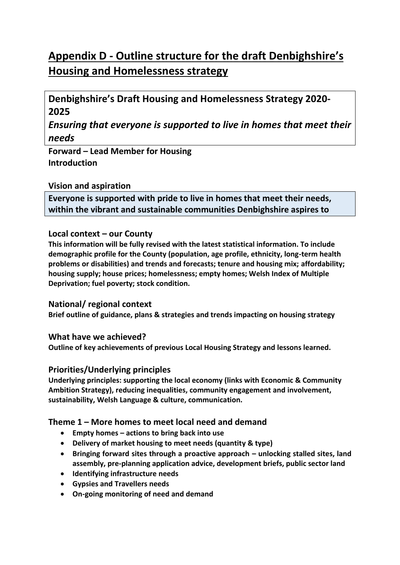# **Appendix D - Outline structure for the draft Denbighshire's Housing and Homelessness strategy**

# **Denbighshire's Draft Housing and Homelessness Strategy 2020- 2025**

*Ensuring that everyone is supported to live in homes that meet their needs*

**Forward – Lead Member for Housing Introduction**

# **Vision and aspiration**

**Everyone is supported with pride to live in homes that meet their needs, within the vibrant and sustainable communities Denbighshire aspires to**

# **Local context – our County**

**This information will be fully revised with the latest statistical information. To include demographic profile for the County (population, age profile, ethnicity, long-term health problems or disabilities) and trends and forecasts; tenure and housing mix; affordability; housing supply; house prices; homelessness; empty homes; Welsh Index of Multiple Deprivation; fuel poverty; stock condition.** 

### **National/ regional context**

**Brief outline of guidance, plans & strategies and trends impacting on housing strategy**

### **What have we achieved?**

**Outline of key achievements of previous Local Housing Strategy and lessons learned.**

### **Priorities/Underlying principles**

**Underlying principles: supporting the local economy (links with Economic & Community Ambition Strategy), reducing inequalities, community engagement and involvement, sustainability, Welsh Language & culture, communication.**

### **Theme 1 – More homes to meet local need and demand**

- **Empty homes – actions to bring back into use**
- **Delivery of market housing to meet needs (quantity & type)**
- **Bringing forward sites through a proactive approach – unlocking stalled sites, land assembly, pre-planning application advice, development briefs, public sector land**
- **Identifying infrastructure needs**
- **Gypsies and Travellers needs**
- **On-going monitoring of need and demand**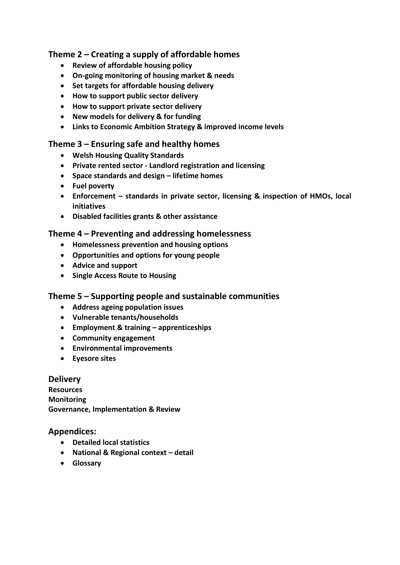# **Theme 2 – Creating a supply of affordable homes**

- **Review of affordable housing policy**
- **On-going monitoring of housing market & needs**
- **Set targets for affordable housing delivery**
- **How to support public sector delivery**
- **How to support private sector delivery**
- **New models for delivery & for funding**
- **Links to Economic Ambition Strategy & improved income levels**

#### **Theme 3 – Ensuring safe and healthy homes**

- **Welsh Housing Quality Standards**
- **Private rented sector - Landlord registration and licensing**
- **Space standards and design – lifetime homes**
- **Fuel poverty**
- **Enforcement – standards in private sector, licensing & inspection of HMOs, local initiatives**
- **Disabled facilities grants & other assistance**

#### **Theme 4 – Preventing and addressing homelessness**

- **Homelessness prevention and housing options**
- **Opportunities and options for young people**
- **Advice and support**
- **•** Single Access Route to Housing

### **Theme 5 – Supporting people and sustainable communities**

- **Address ageing population issues**
- **Vulnerable tenants/households**
- **Employment & training – apprenticeships**
- **Community engagement**
- **Environmental improvements**
- **Eyesore sites**

#### **Delivery**

**Resources Monitoring Governance, Implementation & Review** 

#### **Appendices:**

- **Detailed local statistics**
- **National & Regional context – detail**
- **Glossary**